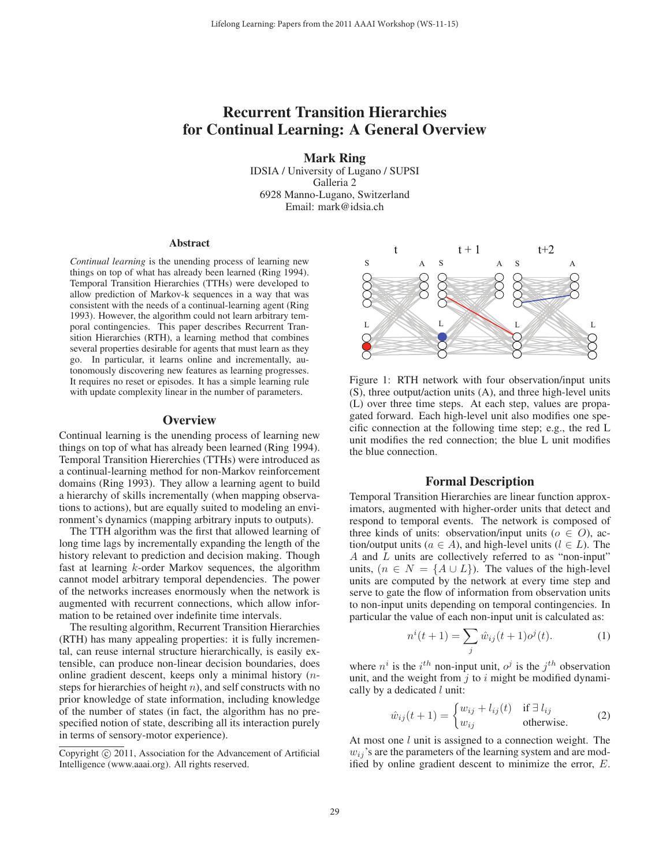# Recurrent Transition Hierarchies for Continual Learning: A General Overview

Mark Ring IDSIA / University of Lugano / SUPSI Galleria 2 6928 Manno-Lugano, Switzerland Email: mark@idsia.ch

#### **Abstract**

*Continual learning* is the unending process of learning new things on top of what has already been learned (Ring 1994). Temporal Transition Hierarchies (TTHs) were developed to allow prediction of Markov-k sequences in a way that was consistent with the needs of a continual-learning agent (Ring 1993). However, the algorithm could not learn arbitrary temporal contingencies. This paper describes Recurrent Transition Hierarchies (RTH), a learning method that combines several properties desirable for agents that must learn as they go. In particular, it learns online and incrementally, autonomously discovering new features as learning progresses. It requires no reset or episodes. It has a simple learning rule with update complexity linear in the number of parameters.

## **Overview**

Continual learning is the unending process of learning new things on top of what has already been learned (Ring 1994). Temporal Transition Hiererchies (TTHs) were introduced as a continual-learning method for non-Markov reinforcement domains (Ring 1993). They allow a learning agent to build a hierarchy of skills incrementally (when mapping observations to actions), but are equally suited to modeling an environment's dynamics (mapping arbitrary inputs to outputs).

The TTH algorithm was the first that allowed learning of long time lags by incrementally expanding the length of the history relevant to prediction and decision making. Though fast at learning k-order Markov sequences, the algorithm cannot model arbitrary temporal dependencies. The power of the networks increases enormously when the network is augmented with recurrent connections, which allow information to be retained over indefinite time intervals.

The resulting algorithm, Recurrent Transition Hierarchies (RTH) has many appealing properties: it is fully incremental, can reuse internal structure hierarchically, is easily extensible, can produce non-linear decision boundaries, does online gradient descent, keeps only a minimal history  $(n$ steps for hierarchies of height  $n$ ), and self constructs with no prior knowledge of state information, including knowledge of the number of states (in fact, the algorithm has no prespecified notion of state, describing all its interaction purely in terms of sensory-motor experience).





Figure 1: RTH network with four observation/input units (S), three output/action units (A), and three high-level units (L) over three time steps. At each step, values are propagated forward. Each high-level unit also modifies one specific connection at the following time step; e.g., the red L unit modifies the red connection; the blue L unit modifies the blue connection.

## Formal Description

Temporal Transition Hierarchies are linear function approximators, augmented with higher-order units that detect and respond to temporal events. The network is composed of three kinds of units: observation/input units ( $o \in O$ ), action/output units ( $a \in A$ ), and high-level units ( $l \in L$ ). The A and L units are collectively referred to as "non-input" units,  $(n \in N = \{A \cup L\})$ . The values of the high-level units are computed by the network at every time step and serve to gate the flow of information from observation units to non-input units depending on temporal contingencies. In particular the value of each non-input unit is calculated as:

$$
n^{i}(t+1) = \sum_{j} \hat{w}_{ij}(t+1)\hat{o}^{j}(t).
$$
 (1)

where  $n^i$  is the  $i^{th}$  non-input unit,  $o^j$  is the  $j^{th}$  observation unit, and the weight from  $j$  to  $i$  might be modified dynamically by a dedicated  $l$  unit:

$$
\hat{w}_{ij}(t+1) = \begin{cases} w_{ij} + l_{ij}(t) & \text{if } \exists l_{ij} \\ w_{ij} & \text{otherwise.} \end{cases}
$$
 (2)

At most one l unit is assigned to a connection weight. The  $w_{ij}$ 's are the parameters of the learning system and are modified by online gradient descent to minimize the error, E.